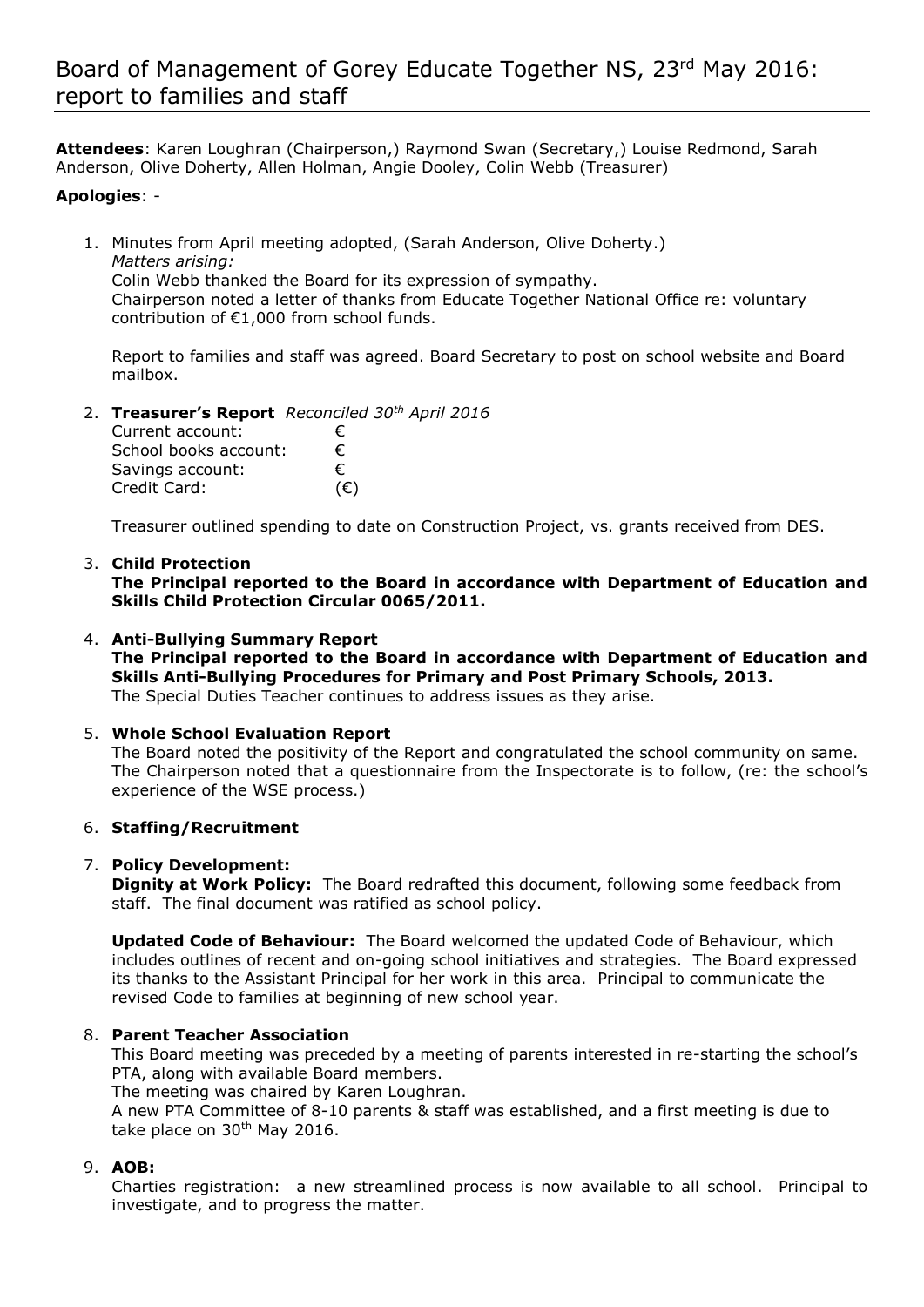**Attendees**: Karen Loughran (Chairperson,) Raymond Swan (Secretary,) Louise Redmond, Sarah Anderson, Olive Doherty, Allen Holman, Angie Dooley, Colin Webb (Treasurer)

### **Apologies**: -

1. Minutes from April meeting adopted, (Sarah Anderson, Olive Doherty.) *Matters arising:* Colin Webb thanked the Board for its expression of sympathy. Chairperson noted a letter of thanks from Educate Together National Office re: voluntary contribution of €1,000 from school funds.

Report to families and staff was agreed. Board Secretary to post on school website and Board mailbox.

2. **Treasurer's Report** *Reconciled 30th April 2016*

| Current account:      | €            |
|-----------------------|--------------|
| School books account: | €            |
| Savings account:      | €            |
| Credit Card:          | $(\epsilon)$ |

Treasurer outlined spending to date on Construction Project, vs. grants received from DES.

### 3. **Child Protection**

**The Principal reported to the Board in accordance with Department of Education and Skills Child Protection Circular 0065/2011.**

#### 4. **Anti-Bullying Summary Report**

**The Principal reported to the Board in accordance with Department of Education and Skills Anti-Bullying Procedures for Primary and Post Primary Schools, 2013.**  The Special Duties Teacher continues to address issues as they arise.

### 5. **Whole School Evaluation Report**

The Board noted the positivity of the Report and congratulated the school community on same. The Chairperson noted that a questionnaire from the Inspectorate is to follow, (re: the school's experience of the WSE process.)

### 6. **Staffing/Recruitment**

### 7. **Policy Development:**

**Dignity at Work Policy:** The Board redrafted this document, following some feedback from staff. The final document was ratified as school policy.

**Updated Code of Behaviour:** The Board welcomed the updated Code of Behaviour, which includes outlines of recent and on-going school initiatives and strategies. The Board expressed its thanks to the Assistant Principal for her work in this area. Principal to communicate the revised Code to families at beginning of new school year.

### 8. **Parent Teacher Association**

This Board meeting was preceded by a meeting of parents interested in re-starting the school's PTA, along with available Board members.

The meeting was chaired by Karen Loughran.

A new PTA Committee of 8-10 parents & staff was established, and a first meeting is due to take place on 30<sup>th</sup> May 2016.

## 9. **AOB:**

Charties registration: a new streamlined process is now available to all school. Principal to investigate, and to progress the matter.